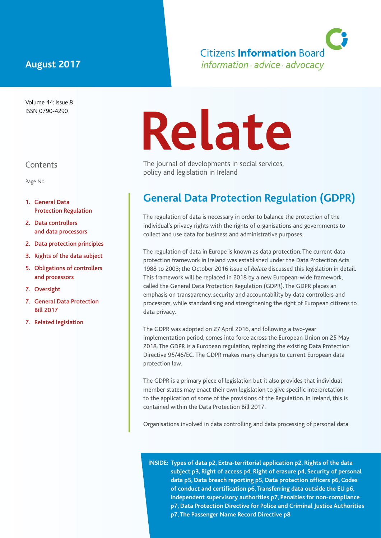# **August 2017**

Volume 44: Issue 8 ISSN 0790-4290

#### Contents

Page No.

- 1. General Data Protection Regulation
- 2. Data controllers and data processors
- 2. Data protection principles
- 3. Rights of the data subject
- 5. Obligations of controllers and processors
- 7. Oversight
- 7. General Data Protection Bill 2017
- 7. Related legislation

# **Relate**

The journal of developments in social services, policy and legislation in Ireland

# **General Data Protection Regulation (GDPR)**

**Citizens Information Board** information · advice · advocacy

The regulation of data is necessary in order to balance the protection of the individual's privacy rights with the rights of organisations and governments to collect and use data for business and administrative purposes.

The regulation of data in Europe is known as data protection. The current data protection framework in Ireland was established under the Data Protection Acts 1988 to 2003; the October 2016 issue of *Relate* discussed this legislation in detail. This framework will be replaced in 2018 by a new European-wide framework, called the General Data Protection Regulation (GDPR). The GDPR places an emphasis on transparency, security and accountability by data controllers and processors, while standardising and strengthening the right of European citizens to data privacy.

The GDPR was adopted on 27 April 2016, and following a two-year implementation period, comes into force across the European Union on 25 May 2018. The GDPR is a European regulation, replacing the existing Data Protection Directive 95/46/EC. The GDPR makes many changes to current European data protection law.

The GDPR is a primary piece of legislation but it also provides that individual member states may enact their own legislation to give specific interpretation to the application of some of the provisions of the Regulation. In Ireland, this is contained within the Data Protection Bill 2017.

Organisations involved in data controlling and data processing of personal data

**INSIDE: Types of data p2, Extra-territorial application p2, Rights of the data subject p3, Right of access p4, Right of erasure p4, Security of personal data p5, Data breach reporting p5, Data protection officers p6, Codes of conduct and certification p6, Transferring data outside the EU p6, Independent supervisory authorities p7, Penalties for non-compliance p7, Data Protection Directive for Police and Criminal Justice Authorities p7, The Passenger Name Record Directive p8**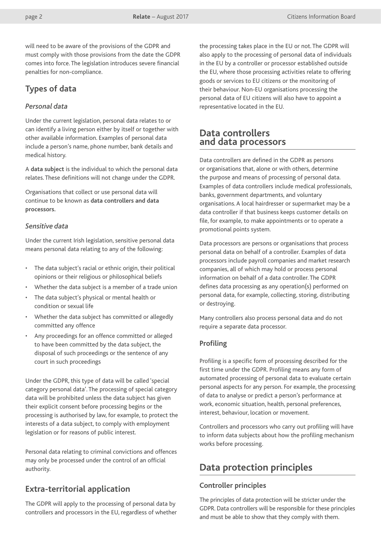will need to be aware of the provisions of the GDPR and must comply with those provisions from the date the GDPR comes into force. The legislation introduces severe financial penalties for non-compliance.

#### **Types of data**

#### *Personal data*

Under the current legislation, personal data relates to or can identify a living person either by itself or together with other available information. Examples of personal data include a person's name, phone number, bank details and medical history.

A **data subject** is the individual to which the personal data relates. These definitions will not change under the GDPR.

Organisations that collect or use personal data will continue to be known as **data controllers and data processors.**

#### *Sensitive data*

Under the current Irish legislation, sensitive personal data means personal data relating to any of the following:

- The data subject's racial or ethnic origin, their political opinions or their religious or philosophical beliefs
- Whether the data subject is a member of a trade union
- The data subject's physical or mental health or condition or sexual life
- Whether the data subject has committed or allegedly committed any offence
- Any proceedings for an offence committed or alleged to have been committed by the data subject, the disposal of such proceedings or the sentence of any court in such proceedings

Under the GDPR, this type of data will be called 'special category personal data'. The processing of special category data will be prohibited unless the data subject has given their explicit consent before processing begins or the processing is authorised by law, for example, to protect the interests of a data subject, to comply with employment legislation or for reasons of public interest.

Personal data relating to criminal convictions and offences may only be processed under the control of an official authority.

#### **Extra-territorial application**

The GDPR will apply to the processing of personal data by controllers and processors in the EU, regardless of whether the processing takes place in the EU or not. The GDPR will also apply to the processing of personal data of individuals in the EU by a controller or processor established outside the EU, where those processing activities relate to offering goods or services to EU citizens or the monitoring of their behaviour. Non-EU organisations processing the personal data of EU citizens will also have to appoint a representative located in the EU.

#### **Data controllers and data processors**

Data controllers are defined in the GDPR as persons or organisations that, alone or with others, determine the purpose and means of processing of personal data. Examples of data controllers include medical professionals, banks, government departments, and voluntary organisations. A local hairdresser or supermarket may be a data controller if that business keeps customer details on file, for example, to make appointments or to operate a promotional points system.

Data processors are persons or organisations that process personal data on behalf of a controller. Examples of data processors include payroll companies and market research companies, all of which may hold or process personal information on behalf of a data controller. The GDPR defines data processing as any operation(s) performed on personal data, for example, collecting, storing, distributing or destroying.

Many controllers also process personal data and do not require a separate data processor.

#### **Profiling**

Profiling is a specific form of processing described for the first time under the GDPR. Profiling means any form of automated processing of personal data to evaluate certain personal aspects for any person. For example, the processing of data to analyse or predict a person's performance at work, economic situation, health, personal preferences, interest, behaviour, location or movement.

Controllers and processors who carry out profiling will have to inform data subjects about how the profiling mechanism works before processing.

## **Data protection principles**

#### **Controller principles**

The principles of data protection will be stricter under the GDPR. Data controllers will be responsible for these principles and must be able to show that they comply with them.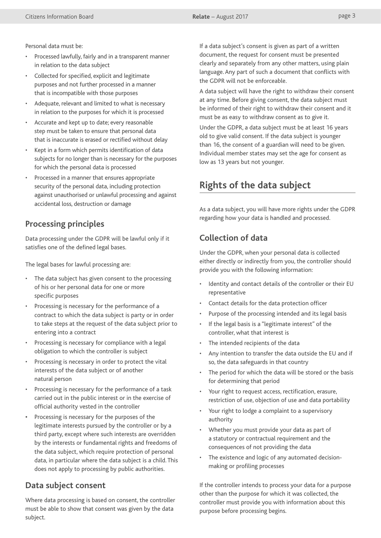Personal data must be:

- Processed lawfully, fairly and in a transparent manner in relation to the data subject
- Collected for specified, explicit and legitimate purposes and not further processed in a manner that is incompatible with those purposes
- Adequate, relevant and limited to what is necessary in relation to the purposes for which it is processed
- Accurate and kept up to date; every reasonable step must be taken to ensure that personal data that is inaccurate is erased or rectified without delay
- Kept in a form which permits identification of data subjects for no longer than is necessary for the purposes for which the personal data is processed
- Processed in a manner that ensures appropriate security of the personal data, including protection against unauthorised or unlawful processing and against accidental loss, destruction or damage

### **Processing principles**

Data processing under the GDPR will be lawful only if it satisfies one of the defined legal bases.

The legal bases for lawful processing are:

- The data subject has given consent to the processing of his or her personal data for one or more specific purposes
- Processing is necessary for the performance of a contract to which the data subject is party or in order to take steps at the request of the data subject prior to entering into a contract
- Processing is necessary for compliance with a legal obligation to which the controller is subject
- Processing is necessary in order to protect the vital interests of the data subject or of another natural person
- Processing is necessary for the performance of a task carried out in the public interest or in the exercise of official authority vested in the controller
- **•** Processing is necessary for the purposes of the legitimate interests pursued by the controller or by a third party, except where such interests are overridden by the interests or fundamental rights and freedoms of the data subject, which require protection of personal data, in particular where the data subject is a child. This does not apply to processing by public authorities.

#### **Data subject consent**

Where data processing is based on consent, the controller must be able to show that consent was given by the data subject.

If a data subject's consent is given as part of a written document, the request for consent must be presented clearly and separately from any other matters, using plain language. Any part of such a document that conflicts with the GDPR will not be enforceable.

A data subject will have the right to withdraw their consent at any time. Before giving consent, the data subject must be informed of their right to withdraw their consent and it must be as easy to withdraw consent as to give it.

Under the GDPR, a data subject must be at least 16 years old to give valid consent. If the data subject is younger than 16, the consent of a guardian will need to be given. Individual member states may set the age for consent as low as 13 years but not younger.

# **Rights of the data subject**

As a data subject, you will have more rights under the GDPR regarding how your data is handled and processed.

## **Collection of data**

Under the GDPR, when your personal data is collected either directly or indirectly from you, the controller should provide you with the following information:

- Identity and contact details of the controller or their EU representative
- Contact details for the data protection officer
- Purpose of the processing intended and its legal basis
- If the legal basis is a "legitimate interest" of the controller, what that interest is
- The intended recipients of the data
- Any intention to transfer the data outside the EU and if so, the data safeguards in that country
- The period for which the data will be stored or the basis for determining that period
- Your right to request access, rectification, erasure, restriction of use, objection of use and data portability
- Your right to lodge a complaint to a supervisory authority
- Whether you must provide your data as part of a statutory or contractual requirement and the consequences of not providing the data
- The existence and logic of any automated decisionmaking or profiling processes

If the controller intends to process your data for a purpose other than the purpose for which it was collected, the controller must provide you with information about this purpose before processing begins.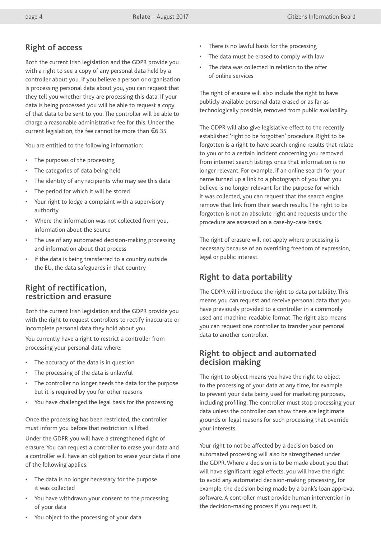# **Right of access**

Both the current Irish legislation and the GDPR provide you with a right to see a copy of any personal data held by a controller about you. If you believe a person or organisation is processing personal data about you, you can request that they tell you whether they are processing this data. If your data is being processed you will be able to request a copy of that data to be sent to you. The controller will be able to charge a reasonable administrative fee for this. Under the current legislation, the fee cannot be more than  $\epsilon$ 6.35.

You are entitled to the following information:

- The purposes of the processing
- The categories of data being held
- The identity of any recipients who may see this data
- The period for which it will be stored
- Your right to lodge a complaint with a supervisory authority
- Where the information was not collected from you, information about the source
- The use of any automated decision-making processing and information about that process
- If the data is being transferred to a country outside the EU, the data safeguards in that country

## **Right of rectification, restriction and erasure**

Both the current Irish legislation and the GDPR provide you with the right to request controllers to rectify inaccurate or incomplete personal data they hold about you.

You currently have a right to restrict a controller from processing your personal data where:

- The accuracy of the data is in question
- The processing of the data is unlawful
- The controller no longer needs the data for the purpose but it is required by you for other reasons
- You have challenged the legal basis for the processing

Once the processing has been restricted, the controller must inform you before that restriction is lifted.

Under the GDPR you will have a strengthened right of erasure. You can request a controller to erase your data and a controller will have an obligation to erase your data if one of the following applies:

- The data is no longer necessary for the purpose it was collected
- You have withdrawn your consent to the processing of your data
- There is no lawful basis for the processing
- The data must be erased to comply with law
- The data was collected in relation to the offer of online services

The right of erasure will also include the right to have publicly available personal data erased or as far as technologically possible, removed from public availability.

The GDPR will also give legislative effect to the recently established 'right to be forgotten' procedure. Right to be forgotten is a right to have search engine results that relate to you or to a certain incident concerning you removed from internet search listings once that information is no longer relevant. For example, if an online search for your name turned up a link to a photograph of you that you believe is no longer relevant for the purpose for which it was collected, you can request that the search engine remove that link from their search results. The right to be forgotten is not an absolute right and requests under the procedure are assessed on a case-by-case basis.

The right of erasure will not apply where processing is necessary because of an overriding freedom of expression, legal or public interest.

## **Right to data portability**

The GDPR will introduce the right to data portability. This means you can request and receive personal data that you have previously provided to a controller in a commonly used and machine-readable format. The right also means you can request one controller to transfer your personal data to another controller.

#### **Right to object and automated decision making**

The right to object means you have the right to object to the processing of your data at any time, for example to prevent your data being used for marketing purposes, including profiling. The controller must stop processing your data unless the controller can show there are legitimate grounds or legal reasons for such processing that override your interests.

Your right to not be affected by a decision based on automated processing will also be strengthened under the GDPR. Where a decision is to be made about you that will have significant legal effects, you will have the right to avoid any automated decision-making processing, for example, the decision being made by a bank's loan approval software. A controller must provide human intervention in the decision-making process if you request it.

You object to the processing of your data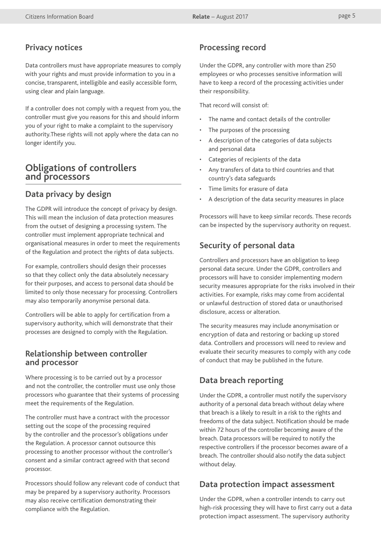## **Privacy notices**

Data controllers must have appropriate measures to comply with your rights and must provide information to you in a concise, transparent, intelligible and easily accessible form, using clear and plain language.

If a controller does not comply with a request from you, the controller must give you reasons for this and should inform you of your right to make a complaint to the supervisory authority.These rights will not apply where the data can no longer identify you.

#### **Obligations of controllers and processors**

## **Data privacy by design**

The GDPR will introduce the concept of privacy by design. This will mean the inclusion of data protection measures from the outset of designing a processing system. The controller must implement appropriate technical and organisational measures in order to meet the requirements of the Regulation and protect the rights of data subjects.

For example, controllers should design their processes so that they collect only the data absolutely necessary for their purposes, and access to personal data should be limited to only those necessary for processing. Controllers may also temporarily anonymise personal data.

Controllers will be able to apply for certification from a supervisory authority, which will demonstrate that their processes are designed to comply with the Regulation.

#### **Relationship between controller and processor**

Where processing is to be carried out by a processor and not the controller, the controller must use only those processors who guarantee that their systems of processing meet the requirements of the Regulation.

The controller must have a contract with the processor setting out the scope of the processing required by the controller and the processor's obligations under the Regulation. A processor cannot outsource this processing to another processor without the controller's consent and a similar contract agreed with that second processor.

Processors should follow any relevant code of conduct that may be prepared by a supervisory authority. Processors may also receive certification demonstrating their compliance with the Regulation.

## **Processing record**

Under the GDPR, any controller with more than 250 employees or who processes sensitive information will have to keep a record of the processing activities under their responsibility.

That record will consist of:

- The name and contact details of the controller
- The purposes of the processing
- A description of the categories of data subjects and personal data
- Categories of recipients of the data
- Any transfers of data to third countries and that country's data safeguards
- Time limits for erasure of data
- A description of the data security measures in place

Processors will have to keep similar records. These records can be inspected by the supervisory authority on request.

## **Security of personal data**

Controllers and processors have an obligation to keep personal data secure. Under the GDPR, controllers and processors will have to consider implementing modern security measures appropriate for the risks involved in their activities. For example, risks may come from accidental or unlawful destruction of stored data or unauthorised disclosure, access or alteration.

The security measures may include anonymisation or encryption of data and restoring or backing up stored data. Controllers and processors will need to review and evaluate their security measures to comply with any code of conduct that may be published in the future.

## **Data breach reporting**

Under the GDPR, a controller must notify the supervisory authority of a personal data breach without delay where that breach is a likely to result in a risk to the rights and freedoms of the data subject. Notification should be made within 72 hours of the controller becoming aware of the breach. Data processors will be required to notify the respective controllers if the processor becomes aware of a breach. The controller should also notify the data subject without delay.

#### **Data protection impact assessment**

Under the GDPR, when a controller intends to carry out high-risk processing they will have to first carry out a data protection impact assessment. The supervisory authority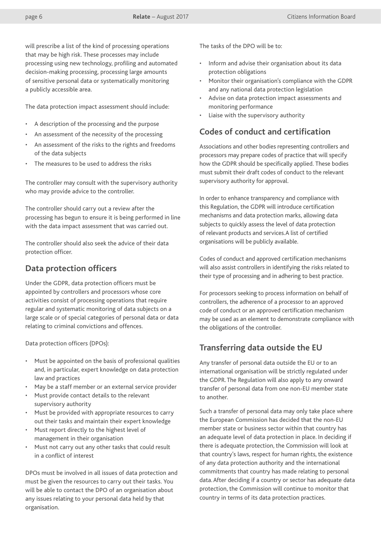will prescribe a list of the kind of processing operations that may be high risk. These processes may include processing using new technology, profiling and automated decision-making processing, processing large amounts of sensitive personal data or systematically monitoring a publicly accessible area.

The data protection impact assessment should include:

- A description of the processing and the purpose
- An assessment of the necessity of the processing
- An assessment of the risks to the rights and freedoms of the data subjects
- The measures to be used to address the risks

The controller may consult with the supervisory authority who may provide advice to the controller.

The controller should carry out a review after the processing has begun to ensure it is being performed in line with the data impact assessment that was carried out.

The controller should also seek the advice of their data protection officer.

#### **Data protection officers**

Under the GDPR, data protection officers must be appointed by controllers and processors whose core activities consist of processing operations that require regular and systematic monitoring of data subjects on a large scale or of special categories of personal data or data relating to criminal convictions and offences.

Data protection officers (DPOs):

- Must be appointed on the basis of professional qualities and, in particular, expert knowledge on data protection law and practices
- May be a staff member or an external service provider
- Must provide contact details to the relevant supervisory authority
- Must be provided with appropriate resources to carry out their tasks and maintain their expert knowledge
- Must report directly to the highest level of management in their organisation
- Must not carry out any other tasks that could result in a conflict of interest

DPOs must be involved in all issues of data protection and must be given the resources to carry out their tasks. You will be able to contact the DPO of an organisation about any issues relating to your personal data held by that organisation.

The tasks of the DPO will be to:

- Inform and advise their organisation about its data protection obligations
- Monitor their organisation's compliance with the GDPR and any national data protection legislation
- Advise on data protection impact assessments and monitoring performance
- Liaise with the supervisory authority

#### **Codes of conduct and certification**

Associations and other bodies representing controllers and processors may prepare codes of practice that will specify how the GDPR should be specifically applied. These bodies must submit their draft codes of conduct to the relevant supervisory authority for approval.

In order to enhance transparency and compliance with this Regulation, the GDPR will introduce certification mechanisms and data protection marks, allowing data subjects to quickly assess the level of data protection of relevant products and services.A list of certified organisations will be publicly available.

Codes of conduct and approved certification mechanisms will also assist controllers in identifying the risks related to their type of processing and in adhering to best practice.

For processors seeking to process information on behalf of controllers, the adherence of a processor to an approved code of conduct or an approved certification mechanism may be used as an element to demonstrate compliance with the obligations of the controller.

#### **Transferring data outside the EU**

Any transfer of personal data outside the EU or to an international organisation will be strictly regulated under the GDPR. The Regulation will also apply to any onward transfer of personal data from one non-EU member state to another.

Such a transfer of personal data may only take place where the European Commission has decided that the non-EU member state or business sector within that country has an adequate level of data protection in place. In deciding if there is adequate protection, the Commission will look at that country's laws, respect for human rights, the existence of any data protection authority and the international commitments that country has made relating to personal data. After deciding if a country or sector has adequate data protection, the Commission will continue to monitor that country in terms of its data protection practices.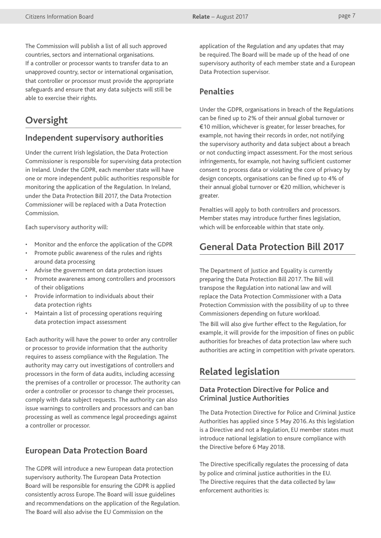The Commission will publish a list of all such approved countries, sectors and international organisations. If a controller or processor wants to transfer data to an unapproved country, sector or international organisation, that controller or processor must provide the appropriate safeguards and ensure that any data subjects will still be able to exercise their rights.

# **Oversight**

#### **Independent supervisory authorities**

Under the current Irish legislation, the Data Protection Commissioner is responsible for supervising data protection in Ireland. Under the GDPR, each member state will have one or more independent public authorities responsible for monitoring the application of the Regulation. In Ireland, under the Data Protection Bill 2017, the Data Protection Commissioner will be replaced with a Data Protection Commission.

Each supervisory authority will:

- Monitor and the enforce the application of the GDPR
- Promote public awareness of the rules and rights around data processing
- Advise the government on data protection issues
- Promote awareness among controllers and processors of their obligations
- Provide information to individuals about their data protection rights
- Maintain a list of processing operations requiring data protection impact assessment

Each authority will have the power to order any controller or processor to provide information that the authority requires to assess compliance with the Regulation. The authority may carry out investigations of controllers and processors in the form of data audits, including accessing the premises of a controller or processor. The authority can order a controller or processor to change their processes, comply with data subject requests. The authority can also issue warnings to controllers and processors and can ban processing as well as commence legal proceedings against a controller or processor.

## **European Data Protection Board**

The GDPR will introduce a new European data protection supervisory authority. The European Data Protection Board will be responsible for ensuring the GDPR is applied consistently across Europe. The Board will issue guidelines and recommendations on the application of the Regulation. The Board will also advise the EU Commission on the

application of the Regulation and any updates that may be required. The Board will be made up of the head of one supervisory authority of each member state and a European Data Protection supervisor.

#### **Penalties**

Under the GDPR, organisations in breach of the Regulations can be fined up to 2% of their annual global turnover or €10 million, whichever is greater, for lesser breaches, for example, not having their records in order, not notifying the supervisory authority and data subject about a breach or not conducting impact assessment. For the most serious infringements, for example, not having sufficient customer consent to process data or violating the core of privacy by design concepts, organisations can be fined up to 4% of their annual global turnover or €20 million, whichever is greater.

Penalties will apply to both controllers and processors. Member states may introduce further fines legislation, which will be enforceable within that state only.

# **General Data Protection Bill 2017**

The Department of Justice and Equality is currently preparing the Data Protection Bill 2017. The Bill will transpose the Regulation into national law and will replace the Data Protection Commissioner with a Data Protection Commission with the possibility of up to three Commissioners depending on future workload.

The Bill will also give further effect to the Regulation, for example, it will provide for the imposition of fines on public authorities for breaches of data protection law where such authorities are acting in competition with private operators.

# **Related legislation**

#### **Data Protection Directive for Police and Criminal Justice Authorities**

The Data Protection Directive for Police and Criminal Justice Authorities has applied since 5 May 2016. As this legislation is a Directive and not a Regulation, EU member states must introduce national legislation to ensure compliance with the Directive before 6 May 2018.

The Directive specifically regulates the processing of data by police and criminal justice authorities in the EU. The Directive requires that the data collected by law enforcement authorities is: